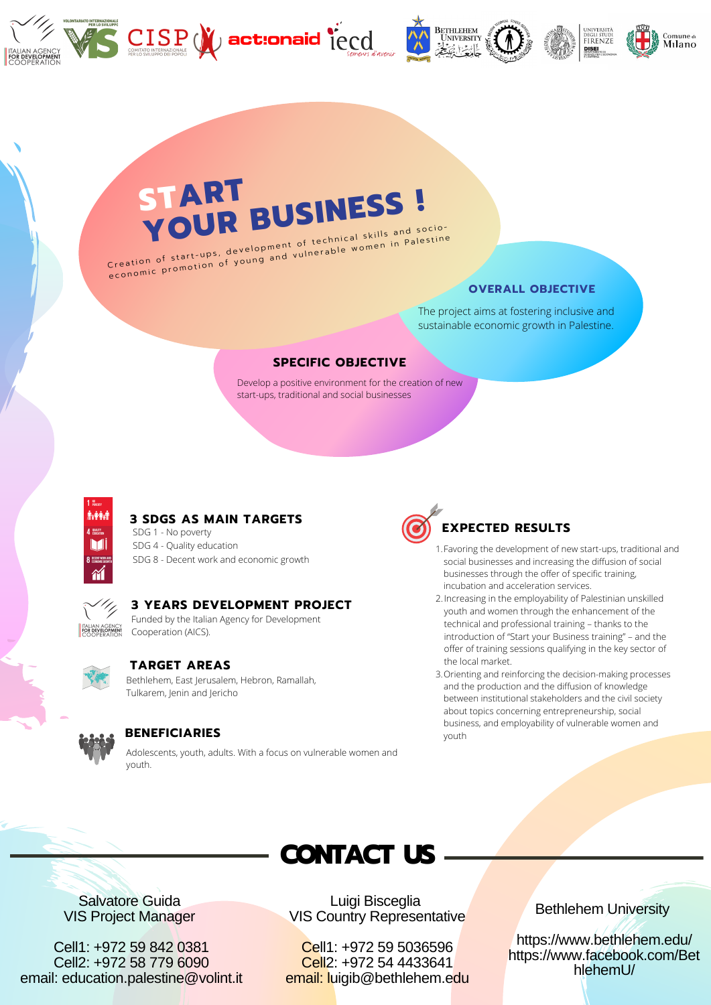





# **START YOUR BUSINESS !**

Creation of start-ups, development of technical skills and socioe conomic promotion of young and vulnerable women in Palestine

### **OVERALL OBJECTIVE**

The project aims at fostering inclusive and sustainable economic growth in Palestine.

### **SPECIFIC OBJECTIVE**

Develop a positive environment for the creation of new start-ups, traditional and social businesses



#### **3 SDGS AS MAIN TARGETS**

SDG 1 - No poverty SDG 4 - Quality education SDG 8 - Decent work and economic growth



## **3 YEARS DEVELOPMENT PROJECT**

Funded by the Italian Agency for Development Cooperation (AICS).



#### **TARGET AREAS**

Bethlehem, East Jerusalem, Hebron, Ramallah, Tulkarem, Jenin and Jericho



#### **BENEFICIARIES**

Adolescents, youth, adults. With a focus on vulnerable women and youth.



- Favoring the development of new start-ups, traditional and 1. social businesses and increasing the diffusion of social businesses through the offer of specific training, incubation and acceleration services.
- 2. Increasing in the employability of Palestinian unskilled youth and women through the enhancement of the technical and professional training – thanks to the introduction of "Start your Business training" – and the offer of training sessions qualifying in the key sector of the local market.
- 3. Orienting and reinforcing the decision-making processes and the production and the diffusion of knowledge between institutional stakeholders and the civil society about topics concerning entrepreneurship, social business, and employability of vulnerable women and youth



Salvatore Guida VIS Project Manager

Cell1: +972 59 842 0381 Cell2: +972 58 779 6090 email: education.palestine@volint.it

Luigi Bisceglia VIS Country Representative

Cell1: +972 59 5036596 Cell2: +972 54 4433641 email: luigib@bethlehem.edu Bethlehem University

https://www.bethlehem.edu/ https://www.facebook.com/Bet hlehemU/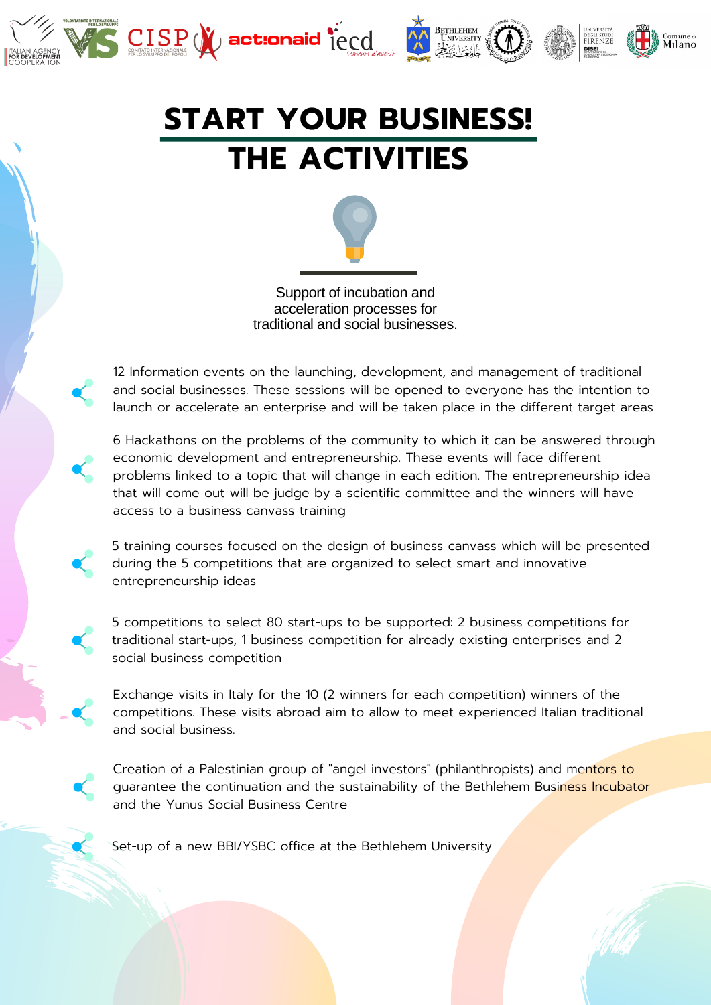





# **START YOUR BUSINESS! THE ACTIVITIES**



12 Information events on the launching, development, and management of traditional and social businesses. These sessions will be opened to everyone has the intention to launch or accelerate an enterprise and will be taken place in the different target areas

6 Hackathons on the problems of the community to which it can be answered through economic development and entrepreneurship. These events will face different problems linked to a topic that will change in each edition. The entrepreneurship idea that will come out will be judge by a scientific committee and the winners will have access to a business canvass training

5 training courses focused on the design of business canvass which will be presented during the 5 competitions that are organized to select smart and innovative entrepreneurship ideas

5 competitions to select 80 start-ups to be supported: 2 business competitions for traditional start-ups, 1 business competition for already existing enterprises and 2 social business competition

Exchange visits in Italy for the 10 (2 winners for each competition) winners of the competitions. These visits abroad aim to allow to meet experienced Italian traditional and social business.

Creation of a Palestinian group of "angel investors" (philanthropists) and mentors to guarantee the continuation and the sustainability of the Bethlehem Business Incubator and the Yunus Social Business Centre

Set-up of a new BBI/YSBC office at the Bethlehem University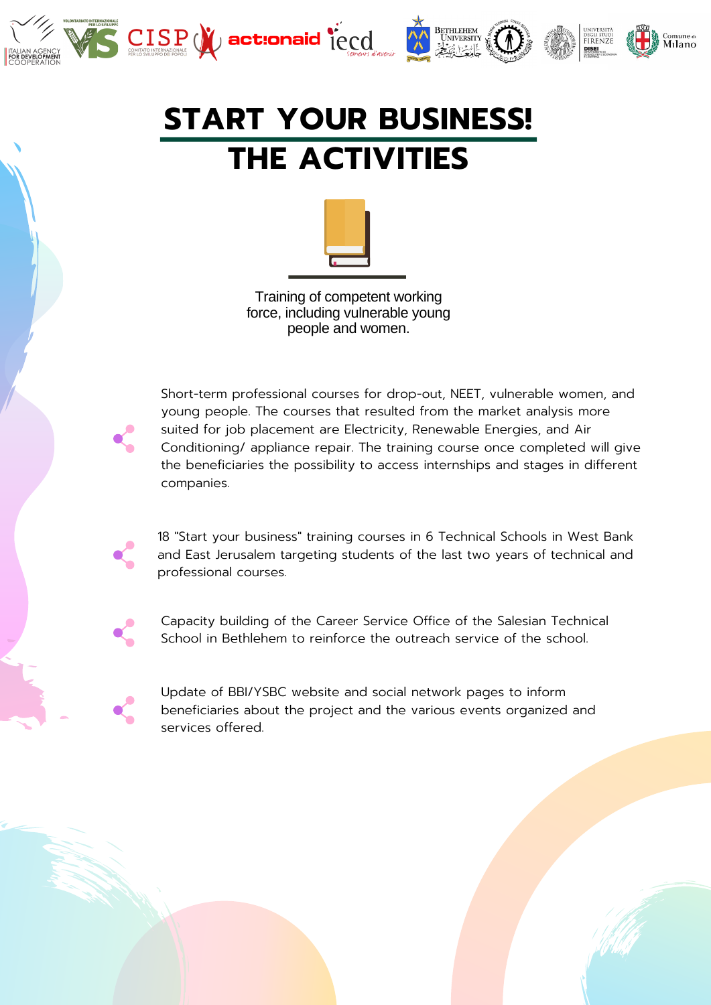



<sub>Comune di</sub><br>Milano



Training of competent working force, including vulnerable young people and women.

Short-term professional courses for drop-out, NEET, vulnerable women, and young people. The courses that resulted from the market analysis more suited for job placement are Electricity, Renewable Energies, and Air Conditioning/ appliance repair. The training course once completed will give the beneficiaries the possibility to access internships and stages in different companies.

18 "Start your business" training courses in 6 Technical Schools in West Bank and East Jerusalem targeting students of the last two years of technical and professional courses.

Capacity building of the Career Service Office of the Salesian Technical School in Bethlehem to reinforce the outreach service of the school.

Update of BBI/YSBC website and social network pages to inform beneficiaries about the project and the various events organized and services offered.